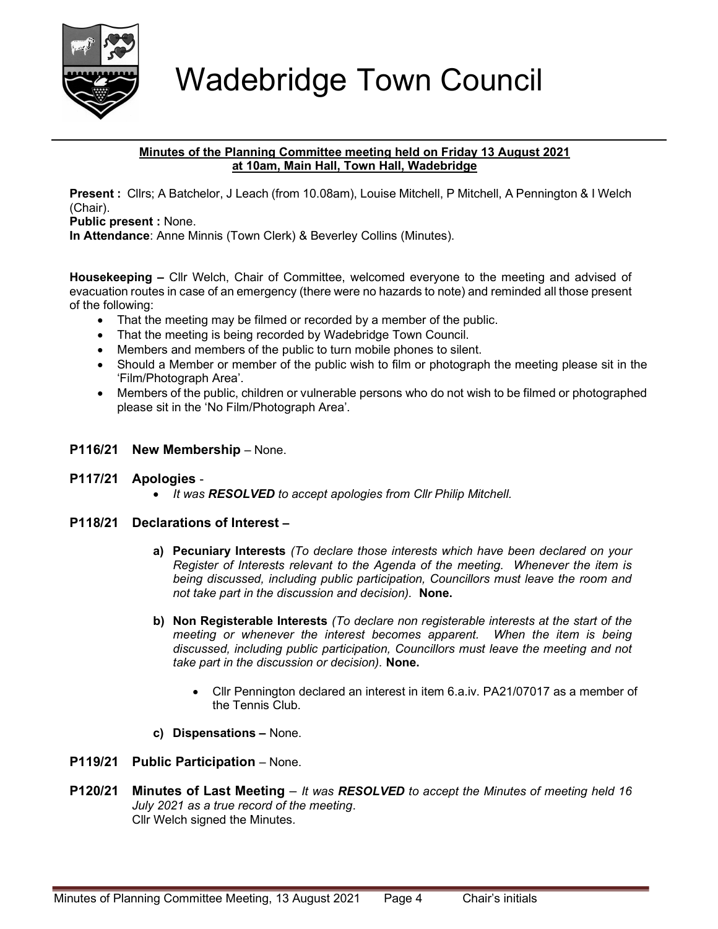

# Wadebridge Town Council

#### Minutes of the Planning Committee meeting held on Friday 13 August 2021 at 10am, Main Hall, Town Hall, Wadebridge

Present : Cllrs; A Batchelor, J Leach (from 10.08am), Louise Mitchell, P Mitchell, A Pennington & I Welch (Chair).

Public present : None.

In Attendance: Anne Minnis (Town Clerk) & Beverley Collins (Minutes).

Housekeeping – Cllr Welch, Chair of Committee, welcomed everyone to the meeting and advised of evacuation routes in case of an emergency (there were no hazards to note) and reminded all those present of the following:

- That the meeting may be filmed or recorded by a member of the public.
- That the meeting is being recorded by Wadebridge Town Council.
- Members and members of the public to turn mobile phones to silent.
- Should a Member or member of the public wish to film or photograph the meeting please sit in the 'Film/Photograph Area'.
- Members of the public, children or vulnerable persons who do not wish to be filmed or photographed please sit in the 'No Film/Photograph Area'.

# P116/21 New Membership – None.

- P117/21 Apologies
	- It was RESOLVED to accept apologies from Cllr Philip Mitchell.

## P118/21 Declarations of Interest –

- a) Pecuniary Interests (To declare those interests which have been declared on your Register of Interests relevant to the Agenda of the meeting. Whenever the item is being discussed, including public participation, Councillors must leave the room and not take part in the discussion and decision). None.
- b) Non Registerable Interests (To declare non registerable interests at the start of the meeting or whenever the interest becomes apparent. When the item is being discussed, including public participation, Councillors must leave the meeting and not take part in the discussion or decision). None.
	- Cllr Pennington declared an interest in item 6.a.iv. PA21/07017 as a member of the Tennis Club.
- c) Dispensations None.
- P119/21 Public Participation None.
- **P120/21** Minutes of Last Meeting  $-$  It was RESOLVED to accept the Minutes of meeting held 16 July 2021 as a true record of the meeting. Cllr Welch signed the Minutes.